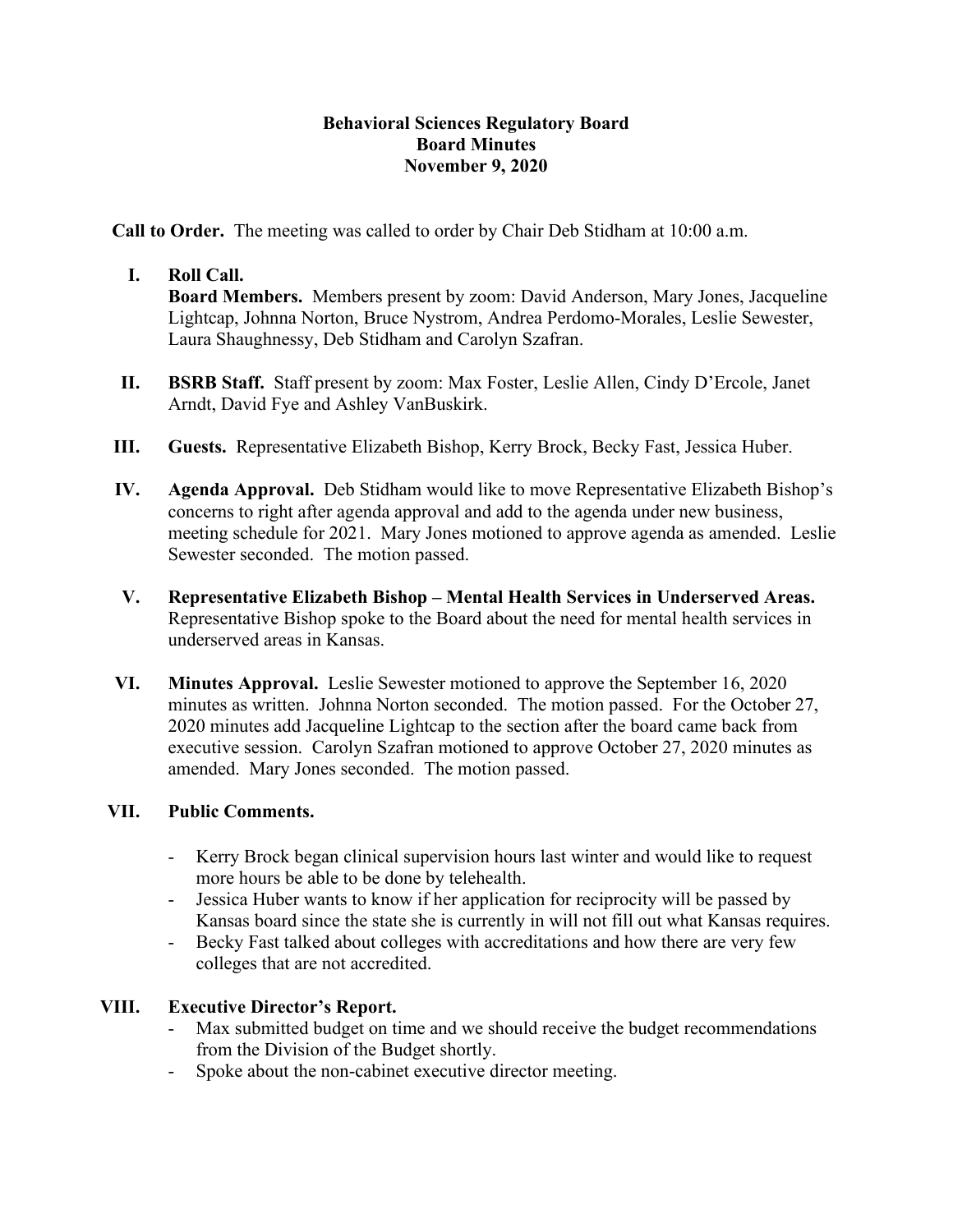### **Behavioral Sciences Regulatory Board Board Minutes November 9, 2020**

**Call to Order.** The meeting was called to order by Chair Deb Stidham at 10:00 a.m.

# **I. Roll Call.**

**Board Members.** Members present by zoom: David Anderson, Mary Jones, Jacqueline Lightcap, Johnna Norton, Bruce Nystrom, Andrea Perdomo-Morales, Leslie Sewester, Laura Shaughnessy, Deb Stidham and Carolyn Szafran.

- **II. BSRB Staff.** Staff present by zoom: Max Foster, Leslie Allen, Cindy D'Ercole, Janet Arndt, David Fye and Ashley VanBuskirk.
- **III. Guests.** Representative Elizabeth Bishop, Kerry Brock, Becky Fast, Jessica Huber.
- **IV. Agenda Approval.** Deb Stidham would like to move Representative Elizabeth Bishop's concerns to right after agenda approval and add to the agenda under new business, meeting schedule for 2021. Mary Jones motioned to approve agenda as amended. Leslie Sewester seconded. The motion passed.
- **V. Representative Elizabeth Bishop – Mental Health Services in Underserved Areas.**  Representative Bishop spoke to the Board about the need for mental health services in underserved areas in Kansas.
- **VI. Minutes Approval.** Leslie Sewester motioned to approve the September 16, 2020 minutes as written. Johnna Norton seconded. The motion passed. For the October 27, 2020 minutes add Jacqueline Lightcap to the section after the board came back from executive session. Carolyn Szafran motioned to approve October 27, 2020 minutes as amended. Mary Jones seconded. The motion passed.

## **VII. Public Comments.**

- Kerry Brock began clinical supervision hours last winter and would like to request more hours be able to be done by telehealth.
- Jessica Huber wants to know if her application for reciprocity will be passed by Kansas board since the state she is currently in will not fill out what Kansas requires.
- Becky Fast talked about colleges with accreditations and how there are very few colleges that are not accredited.

## **VIII. Executive Director's Report.**

- Max submitted budget on time and we should receive the budget recommendations from the Division of the Budget shortly.
- Spoke about the non-cabinet executive director meeting.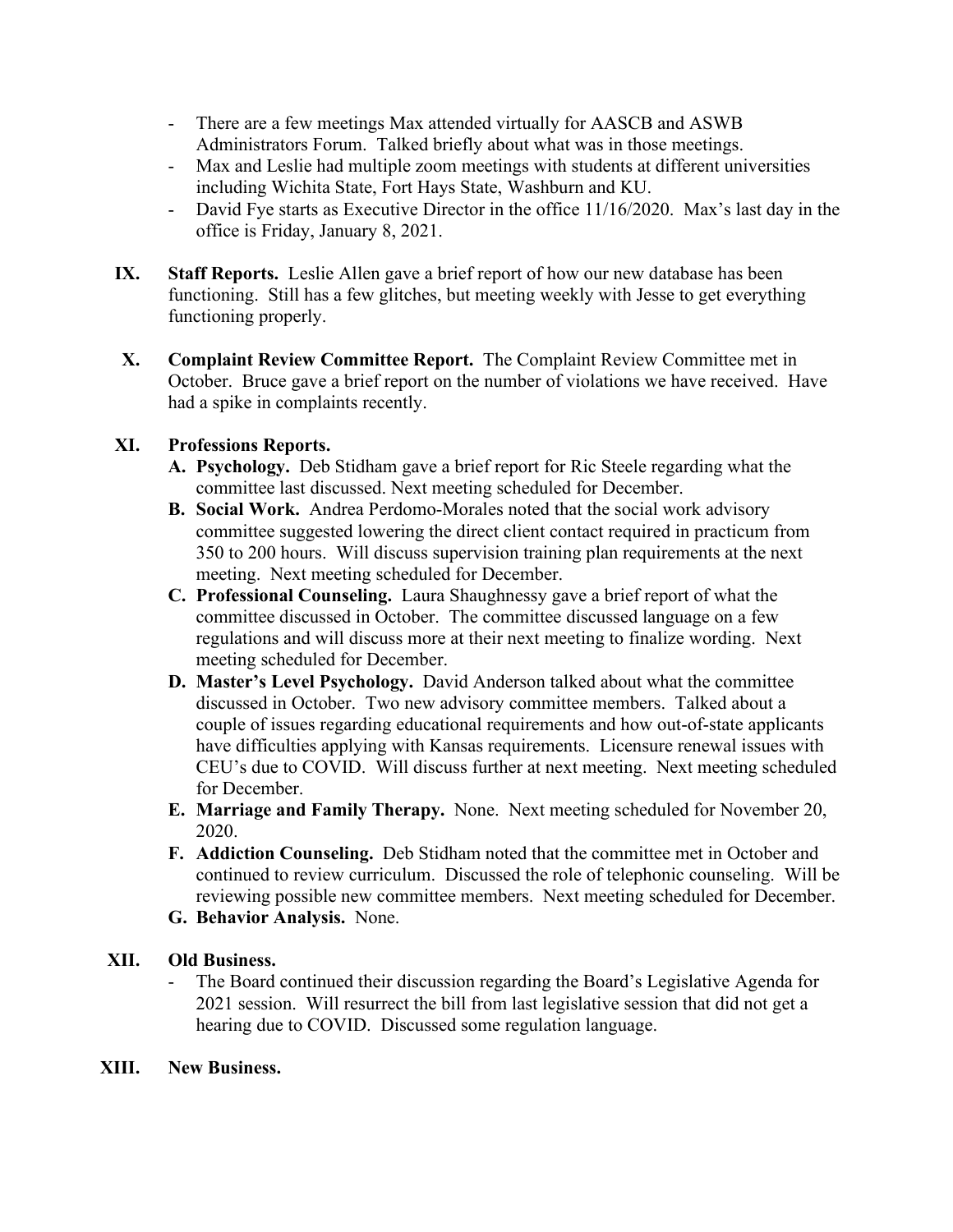- There are a few meetings Max attended virtually for AASCB and ASWB Administrators Forum. Talked briefly about what was in those meetings.
- Max and Leslie had multiple zoom meetings with students at different universities including Wichita State, Fort Hays State, Washburn and KU.
- David Fye starts as Executive Director in the office 11/16/2020. Max's last day in the office is Friday, January 8, 2021.
- **IX.** Staff Reports. Leslie Allen gave a brief report of how our new database has been functioning. Still has a few glitches, but meeting weekly with Jesse to get everything functioning properly.
- **X. Complaint Review Committee Report.** The Complaint Review Committee met in October. Bruce gave a brief report on the number of violations we have received. Have had a spike in complaints recently.

# **XI. Professions Reports.**

- **A. Psychology.** Deb Stidham gave a brief report for Ric Steele regarding what the committee last discussed. Next meeting scheduled for December.
- **B. Social Work.** Andrea Perdomo-Morales noted that the social work advisory committee suggested lowering the direct client contact required in practicum from 350 to 200 hours. Will discuss supervision training plan requirements at the next meeting. Next meeting scheduled for December.
- **C. Professional Counseling.** Laura Shaughnessy gave a brief report of what the committee discussed in October. The committee discussed language on a few regulations and will discuss more at their next meeting to finalize wording. Next meeting scheduled for December.
- **D. Master's Level Psychology.** David Anderson talked about what the committee discussed in October. Two new advisory committee members. Talked about a couple of issues regarding educational requirements and how out-of-state applicants have difficulties applying with Kansas requirements. Licensure renewal issues with CEU's due to COVID. Will discuss further at next meeting. Next meeting scheduled for December.
- **E. Marriage and Family Therapy.** None. Next meeting scheduled for November 20, 2020.
- **F. Addiction Counseling.** Deb Stidham noted that the committee met in October and continued to review curriculum. Discussed the role of telephonic counseling. Will be reviewing possible new committee members. Next meeting scheduled for December.
- **G. Behavior Analysis.** None.

## **XII. Old Business.**

- The Board continued their discussion regarding the Board's Legislative Agenda for 2021 session. Will resurrect the bill from last legislative session that did not get a hearing due to COVID. Discussed some regulation language.

## **XIII. New Business.**